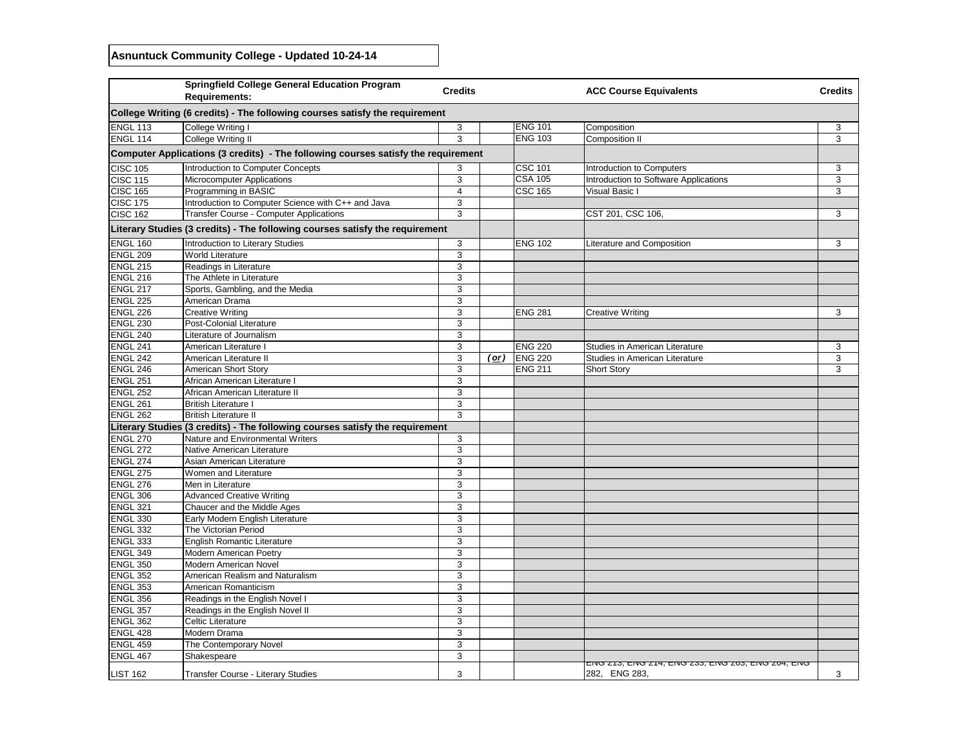## **Asnuntuck Community College - Updated 10-24-14**

|                 | <b>Springfield College General Education Program</b><br><b>Requirements:</b>      | <b>Credits</b> |               |                | <b>ACC Course Equivalents</b>                                               | <b>Credits</b> |
|-----------------|-----------------------------------------------------------------------------------|----------------|---------------|----------------|-----------------------------------------------------------------------------|----------------|
|                 | College Writing (6 credits) - The following courses satisfy the requirement       |                |               |                |                                                                             |                |
| <b>ENGL 113</b> | <b>College Writing I</b>                                                          | 3              |               | <b>ENG 101</b> | Composition                                                                 | 3              |
| ENGL 114        | College Writing II                                                                | 3              |               | <b>ENG 103</b> | <b>Composition II</b>                                                       | 3              |
|                 | Computer Applications (3 credits) - The following courses satisfy the requirement |                |               |                |                                                                             |                |
| <b>CISC 105</b> | Introduction to Computer Concepts                                                 | 3              |               | <b>CSC 101</b> | Introduction to Computers                                                   | 3              |
| CISC 115        | <b>Microcomputer Applications</b>                                                 | 3              |               | <b>CSA 105</b> | Introduction to Software Applications                                       | 3              |
| <b>CISC 165</b> | Programming in BASIC                                                              | 4              |               | <b>CSC 165</b> | <b>Visual Basic I</b>                                                       | 3              |
| CISC 175        | Introduction to Computer Science with C++ and Java                                | 3              |               |                |                                                                             |                |
| CISC 162        | <b>Transfer Course - Computer Applications</b>                                    | 3              |               |                | CST 201, CSC 106,                                                           | 3              |
|                 | Literary Studies (3 credits) - The following courses satisfy the requirement      |                |               |                |                                                                             |                |
| <b>ENGL 160</b> | Introduction to Literary Studies                                                  | 3              |               | <b>ENG 102</b> | <b>Literature and Composition</b>                                           | 3              |
| ENGL 209        | <b>World Literature</b>                                                           | 3              |               |                |                                                                             |                |
| ENGL 215        | Readings in Literature                                                            | 3              |               |                |                                                                             |                |
| ENGL 216        | The Athlete in Literature                                                         | 3              |               |                |                                                                             |                |
| ENGL 217        | Sports, Gambling, and the Media                                                   | 3              |               |                |                                                                             |                |
| ENGL 225        | American Drama                                                                    | 3              |               |                |                                                                             |                |
| ENGL 226        | <b>Creative Writing</b>                                                           | 3              |               | <b>ENG 281</b> | <b>Creative Writing</b>                                                     | 3              |
| ENGL 230        | Post-Colonial Literature                                                          | 3              |               |                |                                                                             |                |
| ENGL 240        | Literature of Journalism                                                          | 3              |               |                |                                                                             |                |
| ENGL 241        | American Literature I                                                             | 3              |               | <b>ENG 220</b> | Studies in American Literature                                              | 3              |
| ENGL 242        | American Literature II                                                            | 3              | <u>( or )</u> | <b>ENG 220</b> | Studies in American Literature                                              | 3              |
| ENGL 246        | <b>American Short Story</b>                                                       | 3              |               | <b>ENG 211</b> | <b>Short Story</b>                                                          | 3              |
| ENGL 251        | African American Literature I                                                     | 3              |               |                |                                                                             |                |
| ENGL 252        | African American Literature II                                                    | 3              |               |                |                                                                             |                |
| ENGL 261        | <b>British Literature I</b>                                                       | 3              |               |                |                                                                             |                |
| ENGL 262        | <b>British Literature II</b>                                                      | 3              |               |                |                                                                             |                |
|                 | Literary Studies (3 credits) - The following courses satisfy the requirement      |                |               |                |                                                                             |                |
| ENGL 270        | Nature and Environmental Writers                                                  | 3              |               |                |                                                                             |                |
| ENGL 272        | <b>Native American Literature</b>                                                 | 3              |               |                |                                                                             |                |
| ENGL 274        | Asian American Literature                                                         | 3              |               |                |                                                                             |                |
| ENGL 275        | Women and Literature                                                              | 3              |               |                |                                                                             |                |
| <b>ENGL 276</b> | Men in Literature                                                                 | 3              |               |                |                                                                             |                |
| <b>ENGL 306</b> | <b>Advanced Creative Writing</b>                                                  | 3              |               |                |                                                                             |                |
| ENGL 321        | Chaucer and the Middle Ages                                                       | 3              |               |                |                                                                             |                |
| ENGL 330        | Early Modern English Literature                                                   | 3              |               |                |                                                                             |                |
| ENGL 332        | The Victorian Period                                                              | 3              |               |                |                                                                             |                |
| <b>ENGL 333</b> | <b>English Romantic Literature</b>                                                | 3              |               |                |                                                                             |                |
| <b>ENGL 349</b> | <b>Modern American Poetry</b>                                                     | 3              |               |                |                                                                             |                |
| ENGL 350        | <b>Modern American Novel</b>                                                      | 3              |               |                |                                                                             |                |
| ENGL 352        | American Realism and Naturalism                                                   | 3              |               |                |                                                                             |                |
| ENGL 353        | American Romanticism                                                              | 3              |               |                |                                                                             |                |
| <b>ENGL 356</b> | Readings in the English Novel I                                                   | 3              |               |                |                                                                             |                |
| ENGL 357        | Readings in the English Novel II                                                  | 3              |               |                |                                                                             |                |
| ENGL 362        | <b>Celtic Literature</b>                                                          | 3              |               |                |                                                                             |                |
| ENGL 428        | Modern Drama                                                                      | 3              |               |                |                                                                             |                |
| ENGL 459        | The Contemporary Novel                                                            | 3              |               |                |                                                                             |                |
| ENGL 467        | Shakespeare                                                                       | 3              |               |                |                                                                             |                |
| LIST 162        | Transfer Course - Literary Studies                                                | 3              |               |                | בוזים בוזה, בוזים בוזי, בוזים באה, בוזים בואים בסיו, בוזים<br>282, ENG 283, | 3              |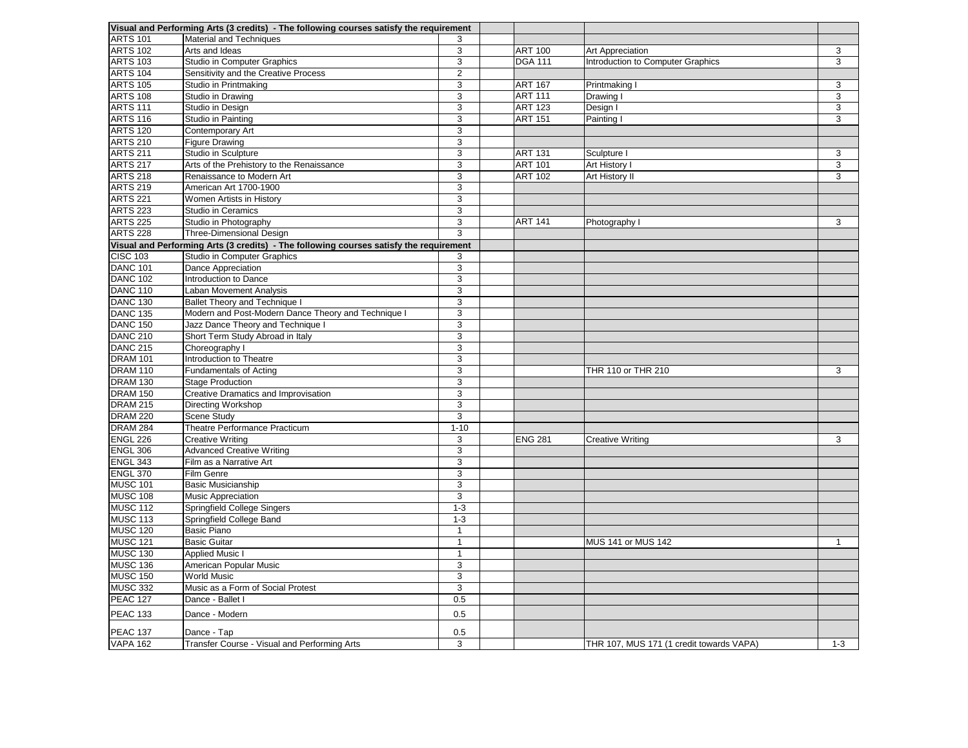|                     | Visual and Performing Arts (3 credits) - The following courses satisfy the requirement |                      |                |                                          |         |
|---------------------|----------------------------------------------------------------------------------------|----------------------|----------------|------------------------------------------|---------|
| <b>ARTS 101</b>     | <b>Material and Techniques</b>                                                         | 3                    |                |                                          |         |
| <b>ARTS 102</b>     | Arts and Ideas                                                                         | 3                    | <b>ART 100</b> | <b>Art Appreciation</b>                  | 3       |
| <b>ARTS 103</b>     | <b>Studio in Computer Graphics</b>                                                     | 3                    | <b>DGA 111</b> | Introduction to Computer Graphics        | 3       |
| <b>ARTS 104</b>     | Sensitivity and the Creative Process                                                   | $\overline{2}$       |                |                                          |         |
| <b>ARTS 105</b>     | Studio in Printmaking                                                                  | 3                    | <b>ART 167</b> | Printmaking I                            | 3       |
| <b>ARTS 108</b>     | Studio in Drawing                                                                      | 3                    | <b>ART 111</b> | Drawing I                                | 3       |
| <b>ARTS 111</b>     | Studio in Design                                                                       | 3                    | <b>ART 123</b> | Design I                                 | 3       |
| <b>ARTS 116</b>     | Studio in Painting                                                                     | 3                    | <b>ART 151</b> | <b>Painting I</b>                        | 3       |
| <b>ARTS 120</b>     | <b>Contemporary Art</b>                                                                | 3                    |                |                                          |         |
| <b>ARTS 210</b>     | <b>Figure Drawing</b>                                                                  | 3                    |                |                                          |         |
| <b>ARTS 211</b>     | Studio in Sculpture                                                                    | 3                    | <b>ART 131</b> | Sculpture I                              | 3       |
| <b>ARTS 217</b>     | Arts of the Prehistory to the Renaissance                                              | 3                    | <b>ART 101</b> | <b>Art History I</b>                     | 3       |
| <b>ARTS 218</b>     | Renaissance to Modern Art                                                              | 3                    | <b>ART 102</b> | Art History II                           | 3       |
| <b>ARTS 219</b>     | American Art 1700-1900                                                                 | 3                    |                |                                          |         |
| <b>ARTS 221</b>     | Women Artists in History                                                               | 3                    |                |                                          |         |
| <b>ARTS 223</b>     | <b>Studio in Ceramics</b>                                                              | 3                    |                |                                          |         |
| <b>ARTS 225</b>     | Studio in Photography                                                                  | 3                    | <b>ART 141</b> | Photography                              | 3       |
| <b>ARTS 228</b>     | Three-Dimensional Design                                                               | 3                    |                |                                          |         |
|                     | Visual and Performing Arts (3 credits) - The following courses satisfy the requirement |                      |                |                                          |         |
| <b>CISC 103</b>     | <b>Studio in Computer Graphics</b>                                                     | 3                    |                |                                          |         |
| <b>DANC 101</b>     | Dance Appreciation                                                                     | 3                    |                |                                          |         |
| <b>DANC 102</b>     | Introduction to Dance                                                                  | 3                    |                |                                          |         |
| <b>DANC 110</b>     | Laban Movement Analysis                                                                | 3                    |                |                                          |         |
| <b>DANC 130</b>     | <b>Ballet Theory and Technique I</b>                                                   | 3                    |                |                                          |         |
| DANC <sub>135</sub> | Modern and Post-Modern Dance Theory and Technique I                                    | 3                    |                |                                          |         |
| <b>DANC 150</b>     | Jazz Dance Theory and Technique I                                                      | 3                    |                |                                          |         |
| <b>DANC 210</b>     | Short Term Study Abroad in Italy                                                       | 3                    |                |                                          |         |
| <b>DANC 215</b>     | Choreography I                                                                         | 3                    |                |                                          |         |
| <b>DRAM 101</b>     | Introduction to Theatre                                                                | 3                    |                |                                          |         |
| DRAM 110            | <b>Fundamentals of Acting</b>                                                          | 3                    |                | THR 110 or THR 210                       | 3       |
| <b>DRAM 130</b>     | Stage Production                                                                       | 3                    |                |                                          |         |
| <b>DRAM 150</b>     | <b>Creative Dramatics and Improvisation</b>                                            | 3                    |                |                                          |         |
| <b>DRAM 215</b>     | Directing Workshop                                                                     | 3                    |                |                                          |         |
| <b>DRAM 220</b>     | <b>Scene Study</b>                                                                     | 3                    |                |                                          |         |
| DRAM 284            | Theatre Performance Practicum                                                          | $1 - 10$             |                |                                          |         |
| ENGL 226            | <b>Creative Writing</b>                                                                | 3                    | <b>ENG 281</b> | <b>Creative Writing</b>                  | 3       |
| <b>ENGL 306</b>     | <b>Advanced Creative Writing</b>                                                       | 3                    |                |                                          |         |
| <b>ENGL 343</b>     | Film as a Narrative Art                                                                | 3                    |                |                                          |         |
| ENGL 370            | <b>Film Genre</b>                                                                      | 3                    |                |                                          |         |
| <b>MUSC 101</b>     | <b>Basic Musicianship</b>                                                              | 3                    |                |                                          |         |
| <b>MUSC 108</b>     | <b>Music Appreciation</b>                                                              | 3                    |                |                                          |         |
| MUSC 112            | <b>Springfield College Singers</b>                                                     | $1 - 3$              |                |                                          |         |
| <b>MUSC 113</b>     | Springfield College Band                                                               | $1 - 3$              |                |                                          |         |
| <b>MUSC 120</b>     | <b>Basic Piano</b>                                                                     |                      |                |                                          |         |
| MUSC 121            | <b>Basic Guitar</b>                                                                    | $\blacktriangleleft$ |                | MUS 141 or MUS 142                       |         |
| <b>MUSC 130</b>     | <b>Applied Music I</b>                                                                 | $\blacktriangleleft$ |                |                                          |         |
| MUSC 136            | American Popular Music                                                                 | 3                    |                |                                          |         |
| <b>MUSC 150</b>     | <b>World Music</b>                                                                     | 3                    |                |                                          |         |
| <b>MUSC 332</b>     | Music as a Form of Social Protest                                                      | 3                    |                |                                          |         |
| <b>PEAC 127</b>     | Dance - Ballet I                                                                       | 0.5                  |                |                                          |         |
| <b>PEAC 133</b>     | Dance - Modern                                                                         | 0.5                  |                |                                          |         |
| <b>PEAC 137</b>     | Dance - Tap                                                                            | 0.5                  |                |                                          |         |
| <b>VAPA 162</b>     | Transfer Course - Visual and Performing Arts                                           | 3                    |                | THR 107, MUS 171 (1 credit towards VAPA) | $1 - 3$ |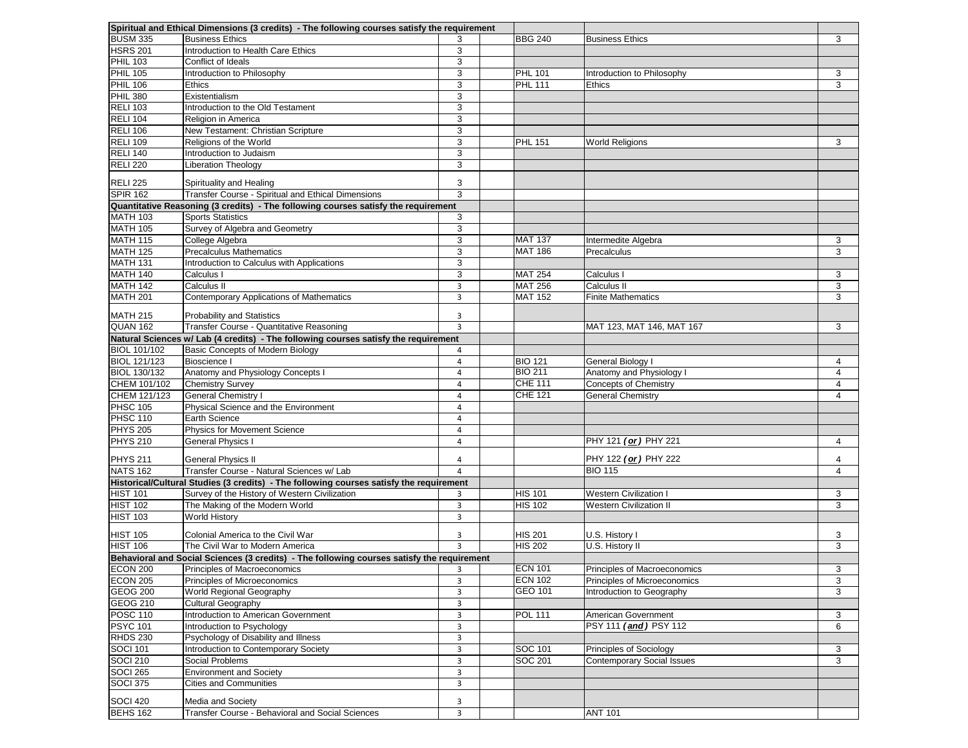|                     | Spiritual and Ethical Dimensions (3 credits) - The following courses satisfy the requirement |                |                |                                   |                |
|---------------------|----------------------------------------------------------------------------------------------|----------------|----------------|-----------------------------------|----------------|
| <b>BUSM 335</b>     | <b>Business Ethics</b>                                                                       |                | <b>BBG 240</b> | <b>Business Ethics</b>            | 3              |
| <b>HSRS 201</b>     | Introduction to Health Care Ethics                                                           | 3              |                |                                   |                |
| <b>PHIL 103</b>     | Conflict of Ideals                                                                           | 3              |                |                                   |                |
| <b>PHIL 105</b>     | Introduction to Philosophy                                                                   | 3              | <b>PHL 101</b> | Introduction to Philosophy        | 3              |
| <b>PHIL 106</b>     | <b>Ethics</b>                                                                                | 3              | <b>PHL 111</b> | <b>Ethics</b>                     | 3              |
| PHIL 380            | Existentialism                                                                               | 3              |                |                                   |                |
| <b>RELI 103</b>     | Introduction to the Old Testament                                                            | 3              |                |                                   |                |
| <b>RELI 104</b>     | Religion in America                                                                          | 3              |                |                                   |                |
| <b>RELI 106</b>     | New Testament: Christian Scripture                                                           | 3              |                |                                   |                |
| <b>RELI 109</b>     | Religions of the World                                                                       | 3              | <b>PHL 151</b> | <b>World Religions</b>            | 3              |
| <b>RELI 140</b>     | Introduction to Judaism                                                                      | 3              |                |                                   |                |
| <b>RELI 220</b>     | <b>Liberation Theology</b>                                                                   | 3              |                |                                   |                |
| <b>RELI 225</b>     | Spirituality and Healing                                                                     | 3              |                |                                   |                |
| <b>SPIR 162</b>     | <b>Transfer Course - Spiritual and Ethical Dimensions</b>                                    | 3              |                |                                   |                |
|                     | Quantitative Reasoning (3 credits) - The following courses satisfy the requirement           |                |                |                                   |                |
| <b>MATH 103</b>     | <b>Sports Statistics</b>                                                                     | 3              |                |                                   |                |
| <b>MATH 105</b>     | Survey of Algebra and Geometry                                                               | 3              |                |                                   |                |
| <b>MATH 115</b>     | College Algebra                                                                              | 3              | <b>MAT 137</b> | Intermedite Algebra               | 3              |
| <b>MATH 125</b>     | <b>Precalculus Mathematics</b>                                                               | 3              | <b>MAT 186</b> | Precalculus                       | 3              |
| <b>MATH 131</b>     | Introduction to Calculus with Applications                                                   | 3              |                |                                   |                |
| <b>MATH 140</b>     | Calculus I                                                                                   | 3              | <b>MAT 254</b> | Calculus I                        | 3              |
| MATH 142            | Calculus II                                                                                  | 3              | <b>MAT 256</b> | Calculus II                       | $\mathfrak{B}$ |
| <b>MATH 201</b>     | <b>Contemporary Applications of Mathematics</b>                                              | $\overline{3}$ | <b>MAT 152</b> | <b>Finite Mathematics</b>         | 3              |
|                     |                                                                                              |                |                |                                   |                |
| MATH 215            | <b>Probability and Statistics</b>                                                            | 3              |                |                                   |                |
| QUAN 162            | Transfer Course - Quantitative Reasoning                                                     | 3              |                | MAT 123, MAT 146, MAT 167         | 3              |
|                     | Natural Sciences w/ Lab (4 credits) - The following courses satisfy the requirement          |                |                |                                   |                |
| <b>BIOL 101/102</b> | <b>Basic Concepts of Modern Biology</b>                                                      | 4              |                |                                   |                |
| <b>BIOL 121/123</b> | <b>Bioscience I</b>                                                                          | 4              | <b>BIO 121</b> | General Biology                   | 4              |
| <b>BIOL 130/132</b> | Anatomy and Physiology Concepts I                                                            | 4              | <b>BIO 211</b> | Anatomy and Physiology I          | Δ              |
| CHEM 101/102        | <b>Chemistry Survey</b>                                                                      | 4              | <b>CHE 111</b> | <b>Concepts of Chemistry</b>      | 4              |
| CHEM 121/123        | <b>General Chemistry I</b>                                                                   | 4              | <b>CHE 121</b> | <b>General Chemistry</b>          | 4              |
| <b>PHSC 105</b>     | Physical Science and the Environment                                                         | 4              |                |                                   |                |
| <b>PHSC 110</b>     | <b>Earth Science</b>                                                                         | 4              |                |                                   |                |
| <b>PHYS 205</b>     | <b>Physics for Movement Science</b>                                                          | 4              |                |                                   |                |
| <b>PHYS 210</b>     | <b>General Physics I</b>                                                                     | 4              |                | PHY 121 (or) PHY 221              | 4              |
| <b>PHYS 211</b>     | <b>General Physics II</b>                                                                    | 4              |                | PHY 122 (or) PHY 222              | 4              |
| <b>NATS 162</b>     | Transfer Course - Natural Sciences w/ Lab                                                    | 4              |                | <b>BIO 115</b>                    | $\overline{4}$ |
|                     | Historical/Cultural Studies (3 credits) - The following courses satisfy the requirement      |                |                |                                   |                |
| HIST 101            | Survey of the History of Western Civilization                                                | 3              | <b>HIS 101</b> | <b>Western Civilization I</b>     | 3              |
| HIST 102            | The Making of the Modern World                                                               | 3              | <b>HIS 102</b> | <b>Western Civilization II</b>    | 3              |
| <b>HIST 103</b>     | <b>World History</b>                                                                         | 3              |                |                                   |                |
| HIST 105            | Colonial America to the Civil War                                                            | 3              | <b>HIS 201</b> | U.S. History I                    | 3              |
| HIST 106            | The Civil War to Modern America                                                              | $\mathbf{R}$   | <b>HIS 202</b> | U.S. History II                   | 3              |
|                     | Behavioral and Social Sciences (3 credits) - The following courses satisfy the requirement   |                |                |                                   |                |
| ECON 200            | Principles of Macroeconomics                                                                 | 3              | <b>ECN 101</b> | Principles of Macroeconomics      | 3              |
| ECON 205            | Principles of Microeconomics                                                                 | 3              | <b>ECN 102</b> | Principles of Microeconomics      | 3              |
| <b>GEOG 200</b>     | <b>World Regional Geography</b>                                                              | 3              | <b>GEO 101</b> | Introduction to Geography         | 3              |
| GEOG 210            | Cultural Geography                                                                           | 3              |                |                                   |                |
| <b>POSC 110</b>     | <b>Introduction to American Government</b>                                                   | 3              | <b>POL 111</b> | American Government               | 3              |
| <b>PSYC 101</b>     | Introduction to Psychology                                                                   | 3              |                | PSY 111 (and) PSY 112             | 6              |
| RHDS 230            | Psychology of Disability and Illness                                                         | 3              |                |                                   |                |
| <b>SOCI 101</b>     | Introduction to Contemporary Society                                                         | 3              | <b>SOC 101</b> | <b>Principles of Sociology</b>    | 3              |
| <b>SOCI 210</b>     | <b>Social Problems</b>                                                                       | 3              | <b>SOC 201</b> | <b>Contemporary Social Issues</b> | 3              |
| SOCI 265            | <b>Environment and Society</b>                                                               | 3              |                |                                   |                |
| <b>SOCI 375</b>     | <b>Cities and Communities</b>                                                                | 3              |                |                                   |                |
|                     |                                                                                              |                |                |                                   |                |
| SOCI 420            | Media and Society                                                                            | 3              |                |                                   |                |
| <b>BEHS 162</b>     | <b>Transfer Course - Behavioral and Social Sciences</b>                                      | 3              |                | <b>ANT 101</b>                    |                |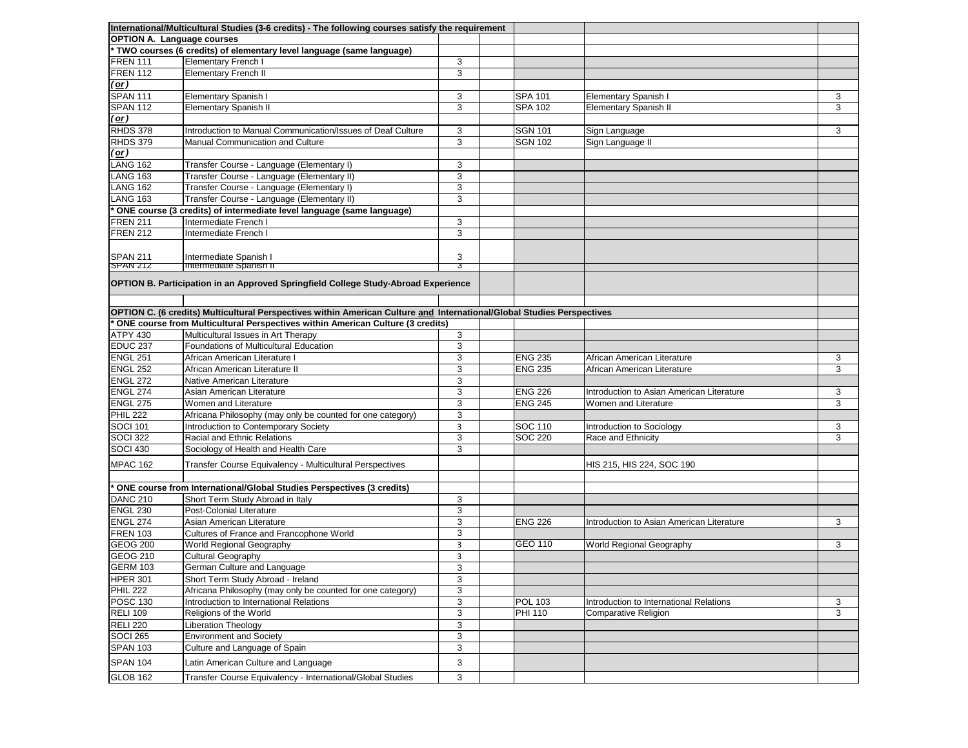|                                   | International/Multicultural Studies (3-6 credits) - The following courses satisfy the requirement                      |   |                |                                           |   |
|-----------------------------------|------------------------------------------------------------------------------------------------------------------------|---|----------------|-------------------------------------------|---|
| <b>OPTION A. Language courses</b> |                                                                                                                        |   |                |                                           |   |
|                                   | * TWO courses (6 credits) of elementary level language (same language)                                                 |   |                |                                           |   |
| FREN 111                          | <b>Elementary French I</b>                                                                                             | 3 |                |                                           |   |
| FREN 112                          | <b>Elementary French II</b>                                                                                            | 3 |                |                                           |   |
| (or)                              |                                                                                                                        |   |                |                                           |   |
| <b>SPAN 111</b>                   | Elementary Spanish I                                                                                                   | 3 | <b>SPA 101</b> | <b>Elementary Spanish I</b>               | 3 |
| <b>SPAN 112</b>                   | <b>Elementary Spanish II</b>                                                                                           | 3 | <b>SPA 102</b> | <b>Elementary Spanish II</b>              | 3 |
| $(\underline{\text{or}})$         |                                                                                                                        |   |                |                                           |   |
| RHDS 378                          | Introduction to Manual Communication/Issues of Deaf Culture                                                            | 3 | <b>SGN 101</b> | Sign Language                             | 3 |
| <b>RHDS 379</b>                   | Manual Communication and Culture                                                                                       | 3 | <b>SGN 102</b> | Sign Language II                          |   |
| $($ <u>or</u> $)$                 |                                                                                                                        |   |                |                                           |   |
| LANG 162                          | Transfer Course - Language (Elementary I)                                                                              | 3 |                |                                           |   |
| LANG 163                          | Transfer Course - Language (Elementary II)                                                                             | 3 |                |                                           |   |
| LANG 162                          | Transfer Course - Language (Elementary I)                                                                              | 3 |                |                                           |   |
| LANG 163                          | Transfer Course - Language (Elementary II)                                                                             | 3 |                |                                           |   |
|                                   | * ONE course (3 credits) of intermediate level language (same language)                                                |   |                |                                           |   |
| <b>IFREN 211</b>                  | Intermediate French I                                                                                                  | 3 |                |                                           |   |
| <b>FREN 212</b>                   | Intermediate French I                                                                                                  | 3 |                |                                           |   |
|                                   |                                                                                                                        |   |                |                                           |   |
| <b>SPAN 211</b>                   | Intermediate Spanish I                                                                                                 | 3 |                |                                           |   |
| SPAN <sub>212</sub>               | <b>Intermediate Spanish II</b>                                                                                         | 3 |                |                                           |   |
|                                   |                                                                                                                        |   |                |                                           |   |
|                                   | <b>OPTION B. Participation in an Approved Springfield College Study-Abroad Experience</b>                              |   |                |                                           |   |
|                                   |                                                                                                                        |   |                |                                           |   |
|                                   | OPTION C. (6 credits) Multicultural Perspectives within American Culture and International/Global Studies Perspectives |   |                |                                           |   |
|                                   | ONE course from Multicultural Perspectives within American Culture (3 credits)                                         |   |                |                                           |   |
| <b>ATPY 430</b>                   | Multicultural Issues in Art Therapy                                                                                    | 3 |                |                                           |   |
| EDUC <sub>237</sub>               | <b>Foundations of Multicultural Education</b>                                                                          | 3 |                |                                           |   |
| ENGL 251                          | African American Literature I                                                                                          | 3 | <b>ENG 235</b> | African American Literature               | 3 |
| ENGL 252                          | African American Literature II                                                                                         | 3 | <b>ENG 235</b> | African American Literature               | 3 |
| ENGL 272                          | Native American Literature                                                                                             | 3 |                |                                           |   |
| ENGL 274                          | Asian American Literature                                                                                              | 3 | <b>ENG 226</b> | Introduction to Asian American Literature | 3 |
| <b>ENGL 275</b>                   | Women and Literature                                                                                                   | 3 | <b>ENG 245</b> | Women and Literature                      | 3 |
| PHIL 222                          | Africana Philosophy (may only be counted for one category)                                                             | 3 |                |                                           |   |
| <b>SOCI 101</b>                   | Introduction to Contemporary Society                                                                                   | 3 | <b>SOC 110</b> | Introduction to Sociology                 | 3 |
| <b>SOCI 322</b>                   | <b>Racial and Ethnic Relations</b>                                                                                     | 3 | <b>SOC 220</b> | Race and Ethnicity                        | 3 |
| <b>SOCI 430</b>                   | Sociology of Health and Health Care                                                                                    | 3 |                |                                           |   |
|                                   |                                                                                                                        |   |                |                                           |   |
| MPAC 162                          | <b>Transfer Course Equivalency - Multicultural Perspectives</b>                                                        |   |                | HIS 215, HIS 224, SOC 190                 |   |
|                                   |                                                                                                                        |   |                |                                           |   |
|                                   | * ONE course from International/Global Studies Perspectives (3 credits)                                                |   |                |                                           |   |
| DANC 210                          | Short Term Study Abroad in Italy                                                                                       | 3 |                |                                           |   |
| ENGL 230                          | <b>Post-Colonial Literature</b>                                                                                        | 3 |                |                                           |   |
| ENGL 274                          | Asian American Literature                                                                                              | 3 | <b>ENG 226</b> | Introduction to Asian American Literature | 3 |
| <b>FREN 103</b>                   | Cultures of France and Francophone World                                                                               | 3 |                |                                           |   |
| GEOG 200                          | <b>World Regional Geography</b>                                                                                        | 3 | <b>GEO 110</b> | World Regional Geography                  | 3 |
| <b>GEOG 210</b>                   | <b>Cultural Geography</b>                                                                                              | 3 |                |                                           |   |
| <b>GERM 103</b>                   | German Culture and Language                                                                                            | 3 |                |                                           |   |
| HPER 301                          | Short Term Study Abroad - Ireland                                                                                      | 3 |                |                                           |   |
| <b>PHIL 222</b>                   | Africana Philosophy (may only be counted for one category)                                                             | 3 |                |                                           |   |
| <b>POSC 130</b>                   | Introduction to International Relations                                                                                | 3 | <b>POL 103</b> | Introduction to International Relations   | 3 |
| <b>RELI 109</b>                   | Religions of the World                                                                                                 | 3 | <b>PHI 110</b> | <b>Comparative Religion</b>               | 3 |
| <b>RELI 220</b>                   | <b>Liberation Theology</b>                                                                                             | 3 |                |                                           |   |
| <b>SOCI 265</b>                   | <b>Environment and Society</b>                                                                                         | 3 |                |                                           |   |
| <b>SPAN 103</b>                   | Culture and Language of Spain                                                                                          | 3 |                |                                           |   |
| <b>SPAN 104</b>                   | Latin American Culture and Language                                                                                    | 3 |                |                                           |   |
| GLOB 162                          | Transfer Course Equivalency - International/Global Studies                                                             | 3 |                |                                           |   |